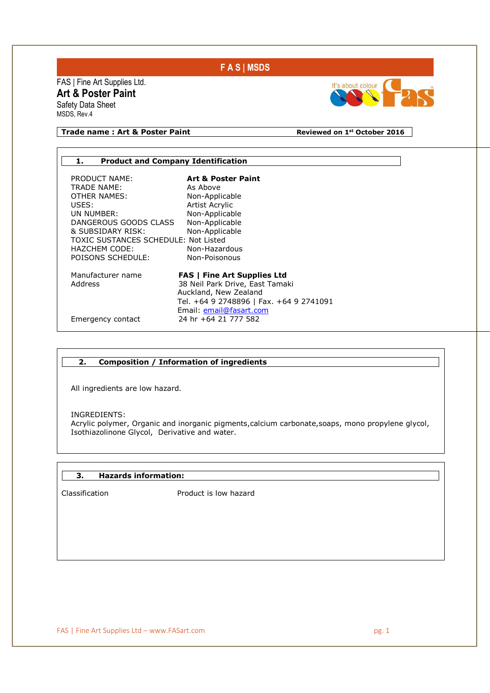# **F A S | MSDS**

FAS | Fine Art Supplies Ltd. **Art & Poster Paint**  Safety Data Sheet MSDS, Rev.4



## **Trade name : Art & Poster Paint Reviewed on 1st October 2016**

# **1. Product and Company Identification**  PRODUCT NAME: **Art & Poster Paint**  TRADE NAME: OTHER NAMES: Non-Applicable USES: Artist Acrylic<br>
UN NUMBER: Non-Applicab Non-Applicable<br>Non-Applicable DANGEROUS GOODS CLASS Non-Applicable<br>& SUBSIDARY RISK: Non-Applicable & SUBSIDARY RISK: TOXIC SUSTANCES SCHEDULE: Not Listed HAZCHEM CODE: Non-Hazardous<br>POISONS SCHEDULE: Non-Poisonous POISONS SCHEDULE: Manufacturer name **FAS | Fine Art Supplies Ltd**  38 Neil Park Drive, East Tamaki Auckland, New Zealand Tel. +64 9 2748896 | Fax. +64 9 2741091 Email: <u>email@fasart.com</u><br>Emergency contact 24 hr +64 21 777 582 24 hr +64 21 777 582

#### **2. Composition / Information of ingredients**

All ingredients are low hazard.

INGREDIENTS:

I

٦

Acrylic polymer, Organic and inorganic pigments,calcium carbonate,soaps, mono propylene glycol, Isothiazolinone Glycol, Derivative and water.

#### **3. Hazards information:**

Classification Product is low hazard

FAS | Fine Art Supplies Ltd – www.FASart.com pg. 1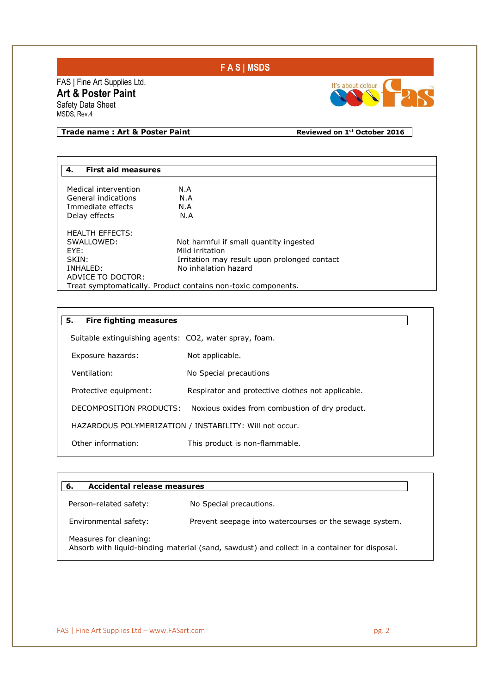# **F A S | MSDS**

FAS | Fine Art Supplies Ltd. **Art & Poster Paint**  Safety Data Sheet MSDS, Rev.4



٦

**Trade name : Art & Poster Paint Reviewed on 1st October 2016** 

| <b>First aid measures</b><br>4. |                                                               |
|---------------------------------|---------------------------------------------------------------|
|                                 |                                                               |
| Medical intervention            | N.A                                                           |
| General indications             | N.A                                                           |
| Immediate effects               | N.A                                                           |
| Delay effects                   | N.A                                                           |
| <b>HEALTH EFFECTS:</b>          |                                                               |
| SWALLOWED:                      | Not harmful if small quantity ingested                        |
| FYF:                            | Mild irritation                                               |
| SKIN:                           | Irritation may result upon prolonged contact                  |
| INHALED:                        | No inhalation hazard                                          |
| ADVICE TO DOCTOR:               |                                                               |
|                                 | Treat symptomatically. Product contains non-toxic components. |

| 5.<br><b>Fire fighting measures</b>                    |                                                         |
|--------------------------------------------------------|---------------------------------------------------------|
| Suitable extinguishing agents: CO2, water spray, foam. |                                                         |
| Exposure hazards:                                      | Not applicable.                                         |
| Ventilation:                                           | No Special precautions                                  |
| Protective equipment:                                  | Respirator and protective clothes not applicable.       |
| DECOMPOSITION PRODUCTS:                                | Noxious oxides from combustion of dry product.          |
|                                                        | HAZARDOUS POLYMERIZATION / INSTABILITY: Will not occur. |
| Other information:                                     | This product is non-flammable.                          |

| Person-related safety:<br>No Special precautions.<br>Prevent seepage into watercourses or the sewage system.<br>Environmental safety:<br>Measures for cleaning:<br>Absorb with liquid-binding material (sand, sawdust) and collect in a container for disposal. | Accidental release measures<br>6. |  |  |
|-----------------------------------------------------------------------------------------------------------------------------------------------------------------------------------------------------------------------------------------------------------------|-----------------------------------|--|--|
|                                                                                                                                                                                                                                                                 |                                   |  |  |
|                                                                                                                                                                                                                                                                 |                                   |  |  |
|                                                                                                                                                                                                                                                                 |                                   |  |  |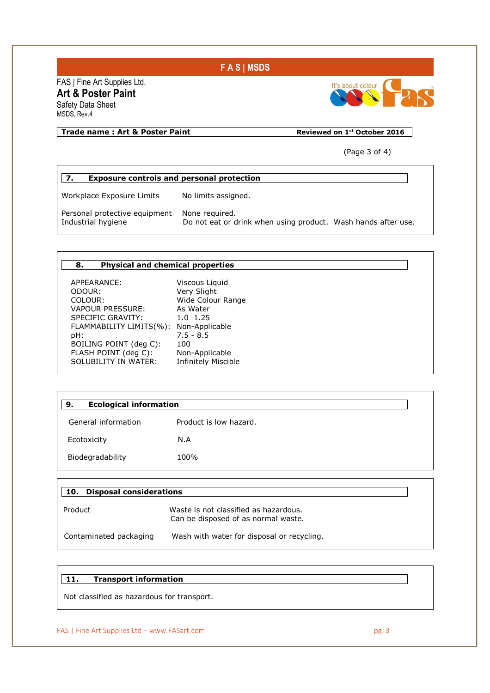

# FAS | Fine Art Supplies Ltd. **Art & Poster Paint**

Safety Data Sheet MSDS, Rev.4

## **Trade name : Art & Poster Paint Reviewed on 1st October 2016**

It's about colour

(Page 3 of 4)

# **7. Exposure controls and personal protection**

Workplace Exposure Limits No limits assigned.

Personal protective equipment None required.<br>Industrial hygiene Do not eat or d

Do not eat or drink when using product. Wash hands after use.

#### **8. Physical and chemical properties**

APPEARANCE: Viscous Liquid ODOUR: Very Slight COLOUR: Wide Colour Range VAPOUR PRESSURE: As Water<br>SPECIFIC GRAVITY: 1.0 1.25 SPECIFIC GRAVITY: FLAMMABILITY LIMITS(%): Non-Applicable pH: 7.5 - 8.5 BOILING POINT (deg C): 100 FLASH POINT (deg C): Non-Applicable<br>SOLUBILITY IN WATER: Infinitely Miscible SOLUBILITY IN WATER:

| <b>Ecological information</b><br>9. |                        |  |
|-------------------------------------|------------------------|--|
| General information                 | Product is low hazard. |  |
| Ecotoxicity                         | N.A                    |  |
| Biodegradability                    | 100%                   |  |

| <b>Disposal considerations</b><br>10. |                                                                              |
|---------------------------------------|------------------------------------------------------------------------------|
| Product                               | Waste is not classified as hazardous.<br>Can be disposed of as normal waste. |
| Contaminated packaging                | Wash with water for disposal or recycling.                                   |

#### **11. Transport information**

Not classified as hazardous for transport.

#### FAS | Fine Art Supplies Ltd – www.FASart.com pg. 3